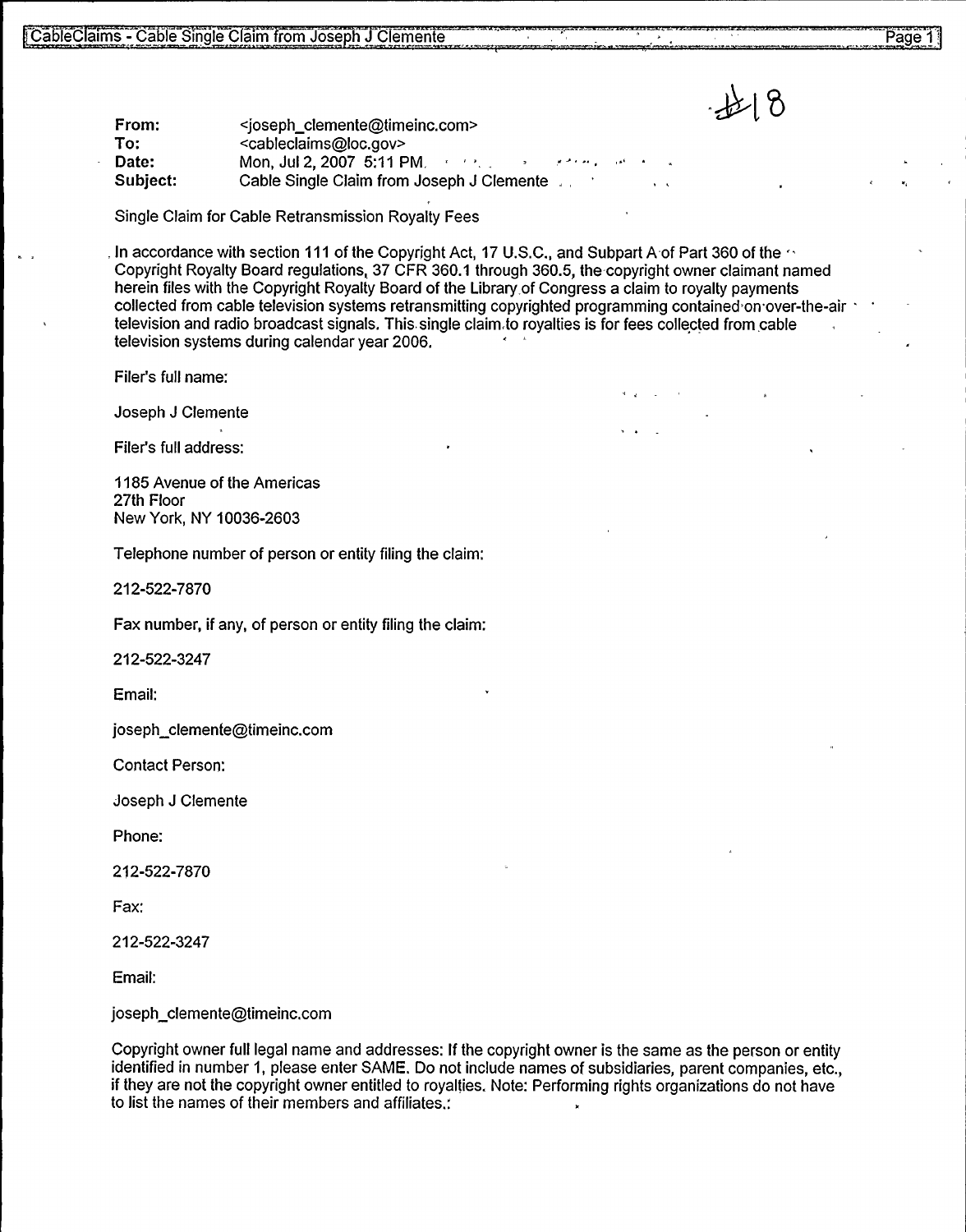Date: Subject: <joseph clemente@timeinc.com> <cableclaims@loc.gov> Mon, Jul 2, 2007 5:11 PM. Cable Single Claim from Joseph J Clemente,

Single Claim for Cable Retransmission Royalty Fees

5 - Cable Single Claim from Joseph J Clemente<br>
To:<br>
To:<br>
To:<br>
To:<br>
Subject: Mon, Jul 2, 2007 5:11 PM.<br>
Subject: Mon, Jul 2, 2007 5:11 PM.<br>
Subject: Cable Single Claim from Joseph J Clemente<br>
Single Claim for Cable Retrans In accordance with section 111 of the Copyright Act, 17 U.S.C., and Subpart A-of Part 360 of the  $\sim$ Copyright Royalty Board regulations, 37 CFR 360.1 through 360.5, the copyright owner claimant named herein files with the Copyright Royalty Board of the Library of Congress a claim to royalty payments collected from cable television systems retransmitting copyrighted programming contained on over-the-air television systems during calendar year 2006. and radio broadcast signals. This single claim to royalties is for fees collected from cable There has want the Copyright Royalty Board of the Ebrary of Congress a Claim to royalty payments<br>
collected from cable television systems reframe reframe in the congress and considered on over-the-alitelevision and radio b

Joseph J Clemente

Filer's full address:

1185 Avenue of the Americas 27th Floor New York, NY 10036-2603

Telephone number of person or entity filing the claim:

212-522-7870

Fax number, if any, of person or entity filing the claim:

212-522-3247

Email:

joseph clemente@timeinc.com

Contact Person:

Joseph J Clemente

Phone:

212-522-7870

Fax:

212-522-3247

Email:

joseph\_clemente@timeinc.com

Copyright owner full legal name and addresses: If the copyright owner is the same as the person or entity identified in number 1, please enter SAME. Do not include names of subsidiaries, parent companies, etc., if they are not the copyright owner entitled to royalties. Note: Performing rights organizations do not have to list the names of their members and affiliates.